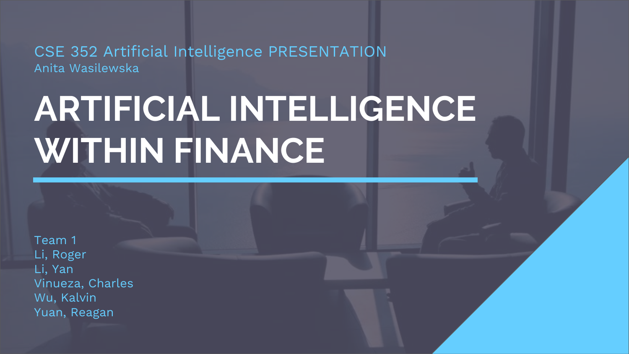CSE 352 Artificial Intelligence PRESENTATION Anita Wasilewska

# **ARTIFICIAL INTELLIGENCE WITHIN FINANCE**

Team 1 Li, Roger Li, Yan Vinueza, Charles Wu, Kalvin Yuan, Reagan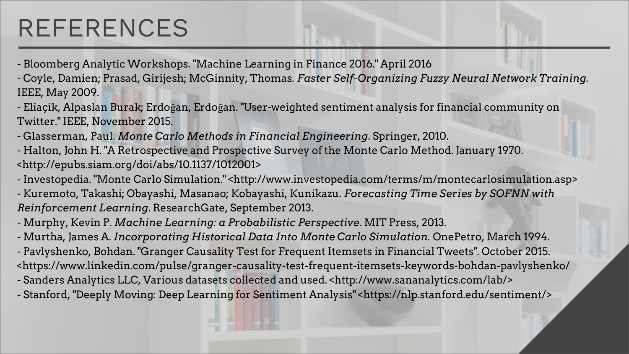### REFERENCES

- Bloomberg Analytic Workshops. "Machine Learning in Finance 2016." April 2016

- Coyle, Damien; Prasad, Girijesh; McGinnity, Thomas. *Faster Self-Organizing Fuzzy Neural Network Training.* IEEE, May 2009.

- Eliaçik, Alpaslan Burak; Erdoğan, Erdoğan. "User-weighted sentiment analysis for financial community on Twitter." IEEE, November 2015.

- Glasserman, Paul. *Monte Carlo Methods in Financial Engineering*. Springer, 2010.

- Halton, John H. "A Retrospective and Prospective Survey of the Monte Carlo Method. January 1970. <http://epubs.siam.org/doi/abs/10.1137/1012001>

- Investopedia. "Monte Carlo Simulation." <http://www.investopedia.com/terms/m/montecarlosimulation.asp> - Kuremoto, Takashi; Obayashi, Masanao; Kobayashi, Kunikazu. *Forecasting Time Series by SOFNN with Reinforcement Learning*. ResearchGate, September 2013.

- Murphy, Kevin P. *Machine Learning: a Probabilistic Perspective*. MIT Press, 2013.

- Murtha, James A. *Incorporating Historical Data Into Monte Carlo Simulation.* OnePetro, March 1994.

- Pavlyshenko, Bohdan. "Granger Causality Test for Frequent Itemsets in Financial Tweets". October 2015. <https://www.linkedin.com/pulse/granger-causality-test-frequent-itemsets-keywords-bohdan-pavlyshenko/

- Sanders Analytics LLC, Various datasets collected and used. <http://www.sananalytics.com/lab/>

- Stanford, "Deeply Moving: Deep Learning for Sentiment Analysis" <https://nlp.stanford.edu/sentiment/>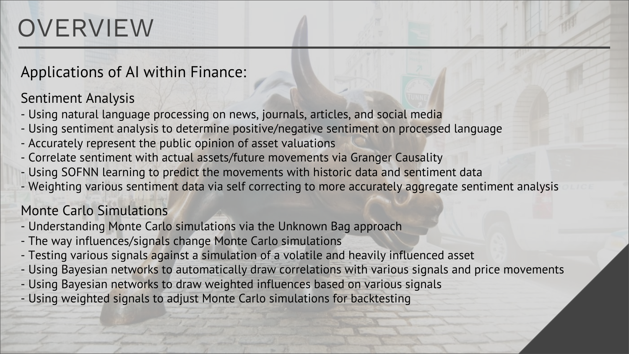## **OVERVIEW**

Applications of AI within Finance:

#### Sentiment Analysis

- Using natural language processing on news, journals, articles, and social media
- Using sentiment analysis to determine positive/negative sentiment on processed language
- Accurately represent the public opinion of asset valuations
- Correlate sentiment with actual assets/future movements via Granger Causality
- Using SOFNN learning to predict the movements with historic data and sentiment data
- Weighting various sentiment data via self correcting to more accurately aggregate sentiment analysis

#### Monte Carlo Simulations

- Understanding Monte Carlo simulations via the Unknown Bag approach
- The way influences/signals change Monte Carlo simulations
- Testing various signals against a simulation of a volatile and heavily influenced asset
- Using Bayesian networks to automatically draw correlations with various signals and price movements
- Using Bayesian networks to draw weighted influences based on various signals
- Using weighted signals to adjust Monte Carlo simulations for backtesting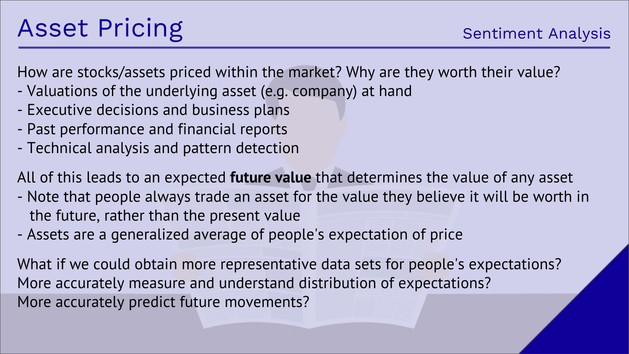## Asset Pricing

How are stocks/assets priced within the market? Why are they worth their value?

- Valuations of the underlying asset (e.g. company) at hand
- Executive decisions and business plans
- Past performance and financial reports
- Technical analysis and pattern detection

All of this leads to an expected **future value** that determines the value of any asset

- Note that people always trade an asset for the value they believe it will be worth in the future, rather than the present value
- Assets are a generalized average of people's expectation of price

What if we could obtain more representative data sets for people's expectations? More accurately measure and understand distribution of expectations? More accurately predict future movements?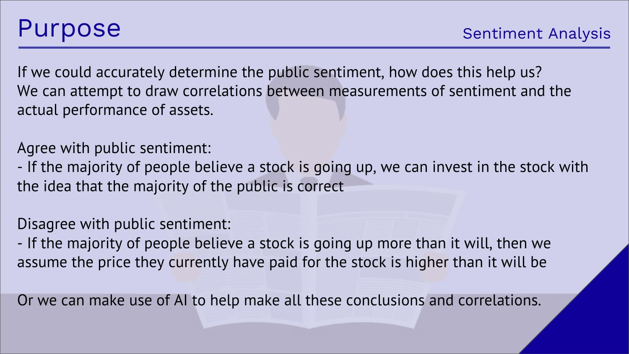If we could accurately determine the public sentiment, how does this help us? We can attempt to draw correlations between measurements of sentiment and the actual performance of assets.

Agree with public sentiment:

- If the majority of people believe a stock is going up, we can invest in the stock with the idea that the majority of the public is correct

Disagree with public sentiment:

- If the majority of people believe a stock is going up more than it will, then we assume the price they currently have paid for the stock is higher than it will be

Or we can make use of AI to help make all these conclusions and correlations.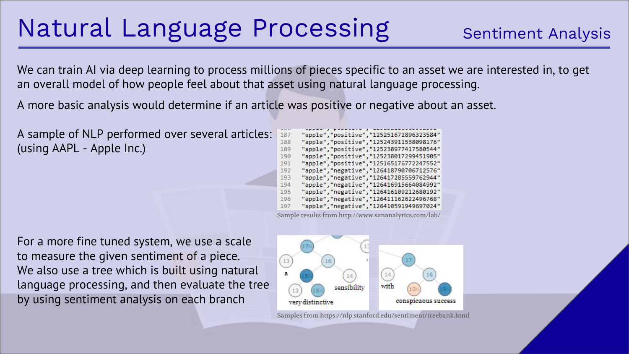### Natural Language Processing

We can train AI via deep learning to process millions of pieces specific to an asset we are interested in, to get an overall model of how people feel about that asset using natural language processing.

A more basic analysis would determine if an article was positive or negative about an asset.

A sample of NLP performed over several articles: (using AAPL - Apple Inc.)

187 "apple", "positive", "125251672896323584" "apple", "positive", "125243911538098176" 188 189 "apple", "positive", "125238977417580544" 190 "apple", "positive", "125238017299451905" "apple", "positive", "125165176772247552" 191 192 "apple", "negative", "126418790706712576" "apple", "negative", "126417285559762944" 193 "apple", "negative", "126416915664084992" 194 195 "apple", "negative", "126416109212680192" "apple", "negative", "126411162622496768" 196 "apple", "negative", "126410591949697024" 197

Sample results from http://www.sananalytics.com/lab/

For a more fine tuned system, we use a scale to measure the given sentiment of a piece. We also use a tree which is built using natural language processing, and then evaluate the tree by using sentiment analysis on each branch



Samples from https://nlp.stanford.edu/sentiment/treebank.html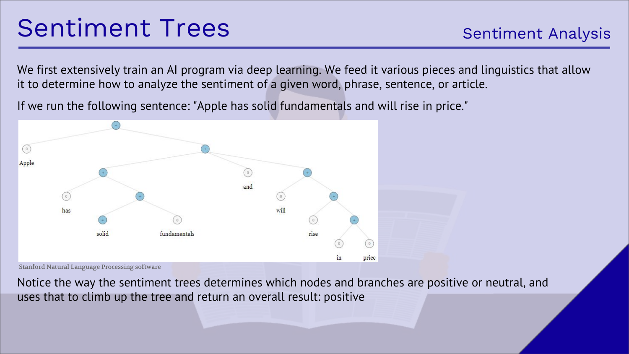We first extensively train an AI program via deep learning. We feed it various pieces and linguistics that allow it to determine how to analyze the sentiment of a given word, phrase, sentence, or article.

If we run the following sentence: "Apple has solid fundamentals and will rise in price."



Stanford Natural Language Processing software

Notice the way the sentiment trees determines which nodes and branches are positive or neutral, and uses that to climb up the tree and return an overall result: positive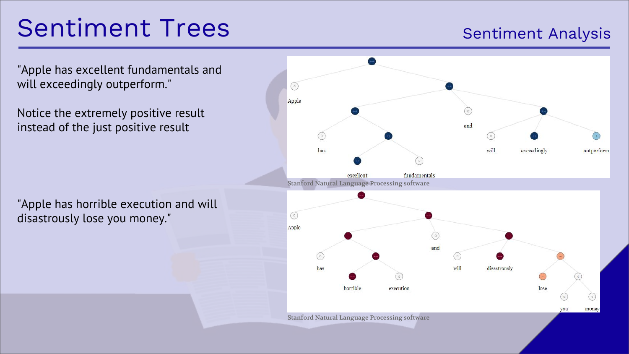### Sentiment Trees

#### Sentiment Analysis

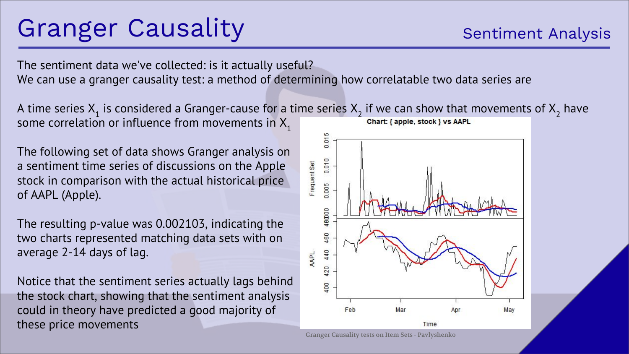## Granger Causality

The sentiment data we've collected: is it actually useful? We can use a granger causality test: a method of determining how correlatable two data series are

A time series  $X_1$  is considered a Granger-cause for a time series  $X_2$  if we can show that movements of  $X_2$  have some correlation or influence from movements in  $X_1$ 

The following set of data shows Granger analysis on a sentiment time series of discussions on the Apple stock in comparison with the actual historical price of AAPL (Apple).

The resulting p-value was 0.002103, indicating the two charts represented matching data sets with on average 2-14 days of lag.

Notice that the sentiment series actually lags behind the stock chart, showing that the sentiment analysis could in theory have predicted a good majority of these price movements



Granger Causality tests on Item Sets - Pavlyshenko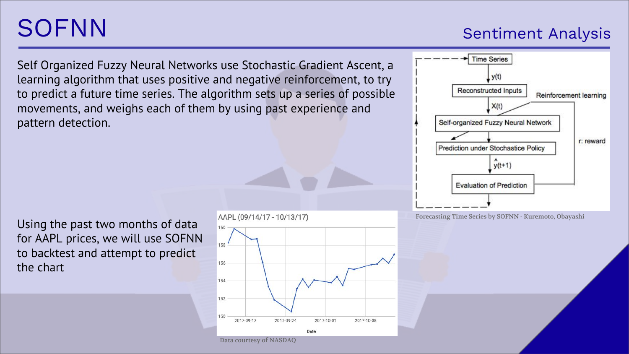## SOFNN

#### Sentiment Analysis

Self Organized Fuzzy Neural Networks use Stochastic Gradient Ascent, a learning algorithm that uses positive and negative reinforcement, to try to predict a future time series. The algorithm sets up a series of possible movements, and weighs each of them by using past experience and pattern detection.

Using the past two months of data for AAPL prices, we will use SOFNN to backtest and attempt to predict the chart





Forecasting Time Series by SOFNN - Kuremoto, Obayashi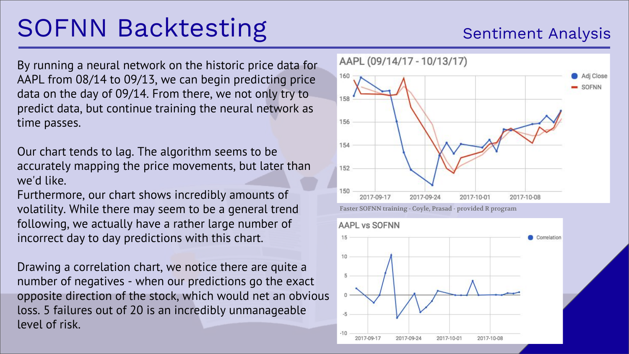## SOFNN Backtesting

By running a neural network on the historic price data for AAPL from 08/14 to 09/13, we can begin predicting price data on the day of 09/14. From there, we not only try to predict data, but continue training the neural network as time passes.

Our chart tends to lag. The algorithm seems to be accurately mapping the price movements, but later than we'd like.

Furthermore, our chart shows incredibly amounts of volatility. While there may seem to be a general trend following, we actually have a rather large number of incorrect day to day predictions with this chart.

Drawing a correlation chart, we notice there are quite a number of negatives - when our predictions go the exact opposite direction of the stock, which would net an obvious loss. 5 failures out of 20 is an incredibly unmanageable level of risk.





#### Sentiment Analysis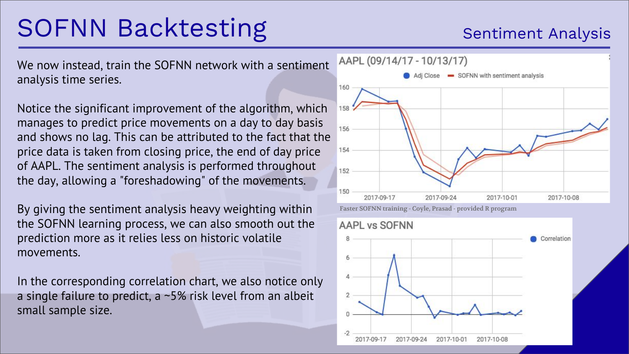## SOFNN Backtesting

We now instead, train the SOFNN network with a sentiment analysis time series.

Notice the significant improvement of the algorithm, which manages to predict price movements on a day to day basis and shows no lag. This can be attributed to the fact that the price data is taken from closing price, the end of day price of AAPL. The sentiment analysis is performed throughout the day, allowing a "foreshadowing" of the movements.

By giving the sentiment analysis heavy weighting within the SOFNN learning process, we can also smooth out the prediction more as it relies less on historic volatile movements.

In the corresponding correlation chart, we also notice only a single failure to predict, a ~5% risk level from an albeit small sample size.





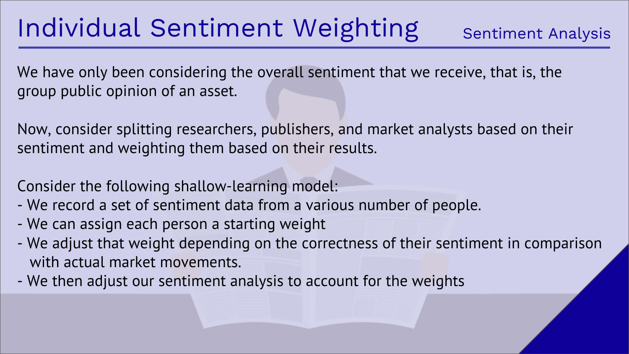## Individual Sentiment Weighting

We have only been considering the overall sentiment that we receive, that is, the group public opinion of an asset.

Now, consider splitting researchers, publishers, and market analysts based on their sentiment and weighting them based on their results.

Consider the following shallow-learning model:

- We record a set of sentiment data from a various number of people.
- We can assign each person a starting weight
- We adjust that weight depending on the correctness of their sentiment in comparison with actual market movements.
- We then adjust our sentiment analysis to account for the weights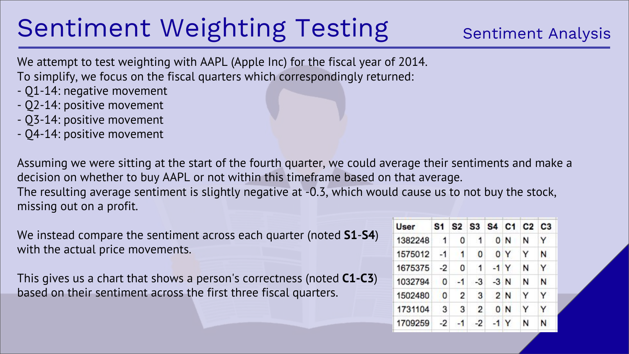## Sentiment Weighting Testing

#### Sentiment Analysis

We attempt to test weighting with AAPL (Apple Inc) for the fiscal year of 2014. To simplify, we focus on the fiscal quarters which correspondingly returned:

- Q1-14: negative movement
- Q2-14: positive movement
- Q3-14: positive movement
- Q4-14: positive movement

Assuming we were sitting at the start of the fourth quarter, we could average their sentiments and make a decision on whether to buy AAPL or not within this timeframe based on that average. The resulting average sentiment is slightly negative at -0.3, which would cause us to not buy the stock, missing out on a profit.

We instead compare the sentiment across each quarter (noted **S1**-**S4**) with the actual price movements.

This gives us a chart that shows a person's correctness (noted **C1-C3**) based on their sentiment across the first three fiscal quarters.

| <b>User</b> | S1           |      |                | S <sub>2</sub> S <sub>3</sub> S <sub>4</sub> C <sub>1</sub> |       | $C2$ $C3$ |   |  |
|-------------|--------------|------|----------------|-------------------------------------------------------------|-------|-----------|---|--|
| 1382248     | $\mathbf{1}$ | 0    | -1             |                                                             | 0 N   | N         | Y |  |
| 1575012     | $-1$         | 1    | 0              |                                                             | 0Y    | Υ         | N |  |
| 1675375     | $-2$         | ٥    | $\cdot$ 1      |                                                             | $-1Y$ | N         | Y |  |
| 1032794     | $\Omega$     | $-1$ | $-3$           | $-3$ N                                                      |       | N         | N |  |
| 1502480     | $\Omega$     | 2    | 3              |                                                             | 2 N   | Y         | Y |  |
| 1731104     | 3            | 3    | $\overline{2}$ |                                                             | 0 N   | Y         | Y |  |
| 1709259     | $-2$         | $-1$ | $-2$           |                                                             | $-1Y$ | N         | N |  |
|             |              |      |                |                                                             |       |           |   |  |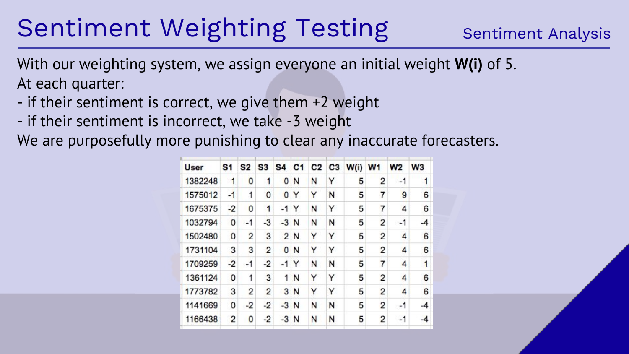## Sentiment Weighting Testing

With our weighting system, we assign everyone an initial weight **W(i)** of 5. At each quarter:

- if their sentiment is correct, we give them +2 weight
- if their sentiment is incorrect, we take -3 weight

We are purposefully more punishing to clear any inaccurate forecasters.

| User |         | S <sub>1</sub> | S <sub>2</sub> | S <sub>3</sub> |                |        |   |   | S4 C1 C2 C3 W(i) W1 |                | W2   | W <sub>3</sub> |
|------|---------|----------------|----------------|----------------|----------------|--------|---|---|---------------------|----------------|------|----------------|
|      | 1382248 | 1              | 0              | 1              | 0              | N      | N | Υ | 5                   | 2              | $-1$ | 1              |
|      | 1575012 | $-1$           | 1              | 0              | $\bf{0}$       | Y      | Y | N | 5                   | 7              | 9    | 6              |
|      | 1675375 | $-2$           | 0              | 1              | $-1$           | Y      | N | Y | 5                   | 7              | 4    | 6              |
|      | 1032794 | 0              | $-1$           | $-3$           |                | $-3$ N | N | N | 5                   | 2              | -1   | $-4$           |
|      | 1502480 | 0              | $\overline{2}$ | 3              |                | 2N     | Y | Υ | 5                   | 2              | 4    | 6              |
|      | 1731104 | 3              | 3              | 2              | $\mathbf{0}$   | N      | Y | Y | 5                   | 2              | 4    | 6              |
|      | 1709259 | $-2$           | $-1$           | $-2$           | $-1$           | Y      | N | N | 5                   | 7              | 4    | 1              |
|      | 1361124 | 0              | 1              | 3              | 1              | N      | Y | Υ | 5                   | 2              | 4    | 6              |
|      | 1773782 | 3              | 2              | 2              | 3 <sup>1</sup> | N      | Y | Y | 5                   | $\overline{2}$ | 4    | 6              |
|      | 1141669 | 0              | $-2$           | $-2$           | $-3N$          |        | N | N | 5                   | $\overline{2}$ | $-1$ | -4             |
|      | 1166438 | 2              | 0              | $-2$           | $-3$           | N      | N | N | 5                   | $\overline{c}$ | $-1$ | -4             |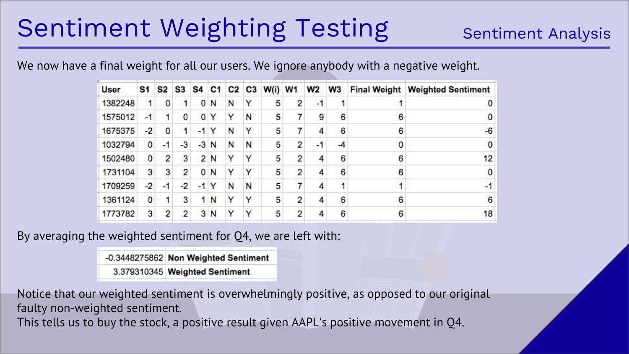## Sentiment Weighting Testing

#### Sentiment Analysis

We now have a final weight for all our users. We ignore anybody with a negative weight.

| <b>User</b> | S <sub>1</sub> | S <sub>2</sub> | S3   | S <sub>4</sub> | C <sub>1</sub> |   | $C2$ $C3$ | W(i) | W <sub>1</sub> | W2   | W <sub>3</sub> | <b>Final Weight</b> | <b>Weighted Sentiment</b> |  |
|-------------|----------------|----------------|------|----------------|----------------|---|-----------|------|----------------|------|----------------|---------------------|---------------------------|--|
| 1382248     |                | $\bf{0}$       | 1.   | $\mathbf{0}$   | N              | N | Υ         | 5    | 2              | $-1$ |                |                     |                           |  |
| 1575012     | -1             |                | 0    | $\mathbf{0}$   | Y              | Y | N         | 5    |                | 9    | 6              | 6                   |                           |  |
| 1675375     | -2             | $\bf{0}$       | 1    | -1             | Y              | N | Υ         | 5    |                | 4    | 6              | 6                   | $-6$                      |  |
| 1032794     | $\mathbf{0}$   | $-1$           | $-3$ | $-3$           | N              | N | N         | 5    | 2              | $-1$ | -4             | 0                   | 0                         |  |
| 1502480     | 0              | 2              | 3    | $\overline{2}$ | N              | Y | Υ         | 5    | 2              | 4    | 6              | 6                   | 12                        |  |
| 1731104     | 3              | 3              | 2    | $\mathbf{0}$   | N              | Y | Υ         | 5    | 2              | 4    | 6              | 6                   |                           |  |
| 1709259     | -2             | $-1$           | $-2$ | $-1$           | Y              | N | N         | 5    |                | 4    |                |                     | -1                        |  |
| 1361124     | 0              |                | 3    | 1              | N              | Y | Υ         | 5    | 2              | 4    | 6              | 6                   | 6                         |  |
| 1773782     | 3              | 2              | 2    | 3              | N              | Y | Υ         | 5    | 2              |      | 6              | 6                   | 18                        |  |

By averaging the weighted sentiment for Q4, we are left with:

-0.3448275862 Non Weighted Sentiment

3.379310345 Weighted Sentiment

Notice that our weighted sentiment is overwhelmingly positive, as opposed to our original faulty non-weighted sentiment.

This tells us to buy the stock, a positive result given AAPL's positive movement in Q4.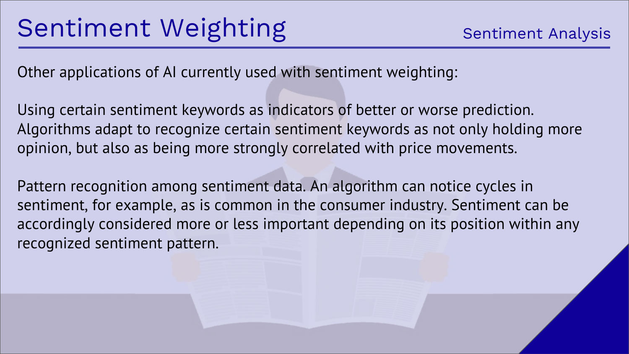Other applications of AI currently used with sentiment weighting:

Using certain sentiment keywords as indicators of better or worse prediction. Algorithms adapt to recognize certain sentiment keywords as not only holding more opinion, but also as being more strongly correlated with price movements.

Pattern recognition among sentiment data. An algorithm can notice cycles in sentiment, for example, as is common in the consumer industry. Sentiment can be accordingly considered more or less important depending on its position within any recognized sentiment pattern.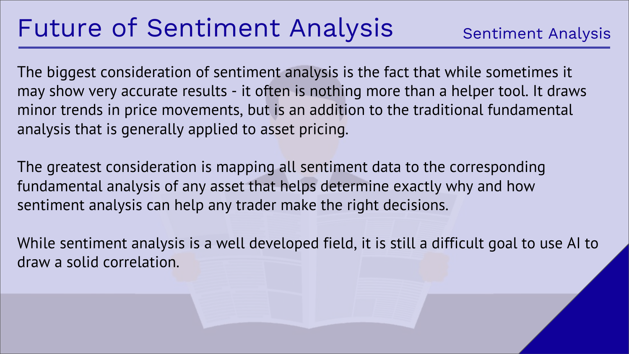The biggest consideration of sentiment analysis is the fact that while sometimes it may show very accurate results - it often is nothing more than a helper tool. It draws minor trends in price movements, but is an addition to the traditional fundamental analysis that is generally applied to asset pricing.

The greatest consideration is mapping all sentiment data to the corresponding fundamental analysis of any asset that helps determine exactly why and how sentiment analysis can help any trader make the right decisions.

While sentiment analysis is a well developed field, it is still a difficult goal to use AI to draw a solid correlation.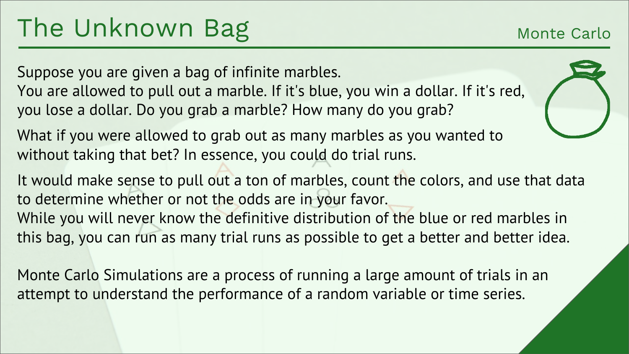#### Monte Carlo

Suppose you are given a bag of infinite marbles. You are allowed to pull out a marble. If it's blue, you win a dollar. If it's red, you lose a dollar. Do you grab a marble? How many do you grab?

What if you were allowed to grab out as many marbles as you wanted to without taking that bet? In essence, you could do trial runs.

It would make sense to pull out a ton of marbles, count the colors, and use that data to determine whether or not the odds are in your favor.

While you will never know the definitive distribution of the blue or red marbles in this bag, you can run as many trial runs as possible to get a better and better idea.

Monte Carlo Simulations are a process of running a large amount of trials in an attempt to understand the performance of a random variable or time series.

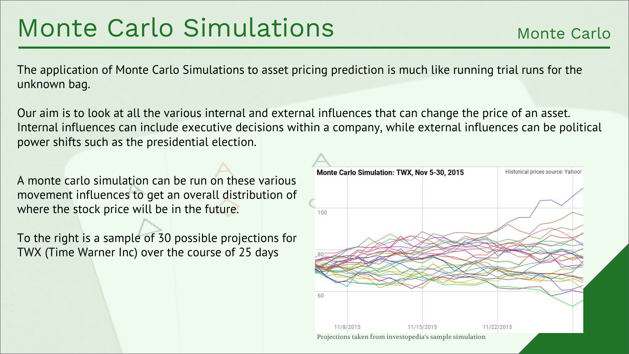### Monte Carlo Simulations

The application of Monte Carlo Simulations to asset pricing prediction is much like running trial runs for the unknown bag.

Our aim is to look at all the various internal and external influences that can change the price of an asset. Internal influences can include executive decisions within a company, while external influences can be political power shifts such as the presidential election.

A monte carlo simulation can be run on these various movement influences to get an overall distribution of where the stock price will be in the future.

To the right is a sample of 30 possible projections for TWX (Time Warner Inc) over the course of 25 days

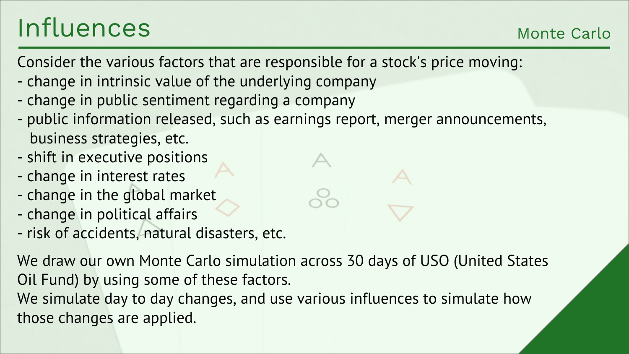## Influences

Monte Carlo

Consider the various factors that are responsible for a stock's price moving:

- change in intrinsic value of the underlying company
- change in public sentiment regarding a company
- public information released, such as earnings report, merger announcements, business strategies, etc.
- shift in executive positions
- change in interest rates
- change in the global market
- change in political affairs
- risk of accidents, natural disasters, etc.

We draw our own Monte Carlo simulation across 30 days of USO (United States Oil Fund) by using some of these factors.

We simulate day to day changes, and use various influences to simulate how those changes are applied.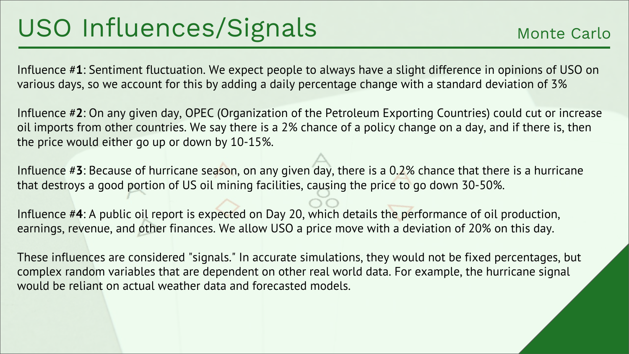Influence #**1**: Sentiment fluctuation. We expect people to always have a slight difference in opinions of USO on various days, so we account for this by adding a daily percentage change with a standard deviation of 3%

Influence #**2**: On any given day, OPEC (Organization of the Petroleum Exporting Countries) could cut or increase oil imports from other countries. We say there is a 2% chance of a policy change on a day, and if there is, then the price would either go up or down by 10-15%.

Influence #**3**: Because of hurricane season, on any given day, there is a 0.2% chance that there is a hurricane that destroys a good portion of US oil mining facilities, causing the price to go down 30-50%.

Influence #**4**: A public oil report is expected on Day 20, which details the performance of oil production, earnings, revenue, and other finances. We allow USO a price move with a deviation of 20% on this day.

These influences are considered "signals." In accurate simulations, they would not be fixed percentages, but complex random variables that are dependent on other real world data. For example, the hurricane signal would be reliant on actual weather data and forecasted models.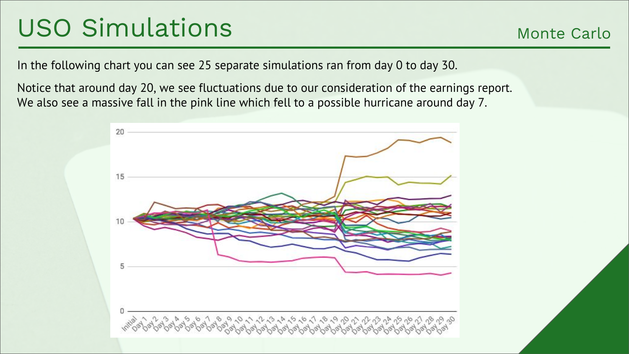### USO Simulations

Monte Carlo

In the following chart you can see 25 separate simulations ran from day 0 to day 30.

Notice that around day 20, we see fluctuations due to our consideration of the earnings report. We also see a massive fall in the pink line which fell to a possible hurricane around day 7.

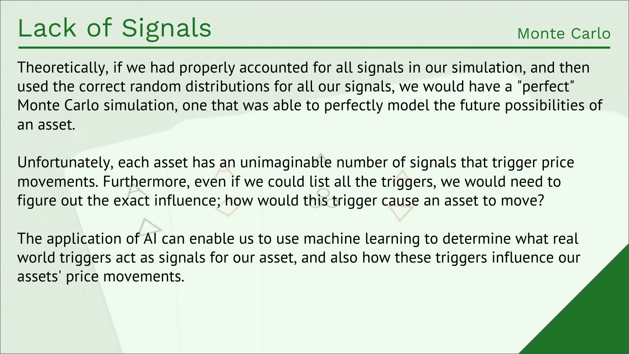Theoretically, if we had properly accounted for all signals in our simulation, and then used the correct random distributions for all our signals, we would have a "perfect" Monte Carlo simulation, one that was able to perfectly model the future possibilities of an asset.

Unfortunately, each asset has an unimaginable number of signals that trigger price movements. Furthermore, even if we could list all the triggers, we would need to figure out the exact influence; how would this trigger cause an asset to move?

The application of AI can enable us to use machine learning to determine what real world triggers act as signals for our asset, and also how these triggers influence our assets' price movements.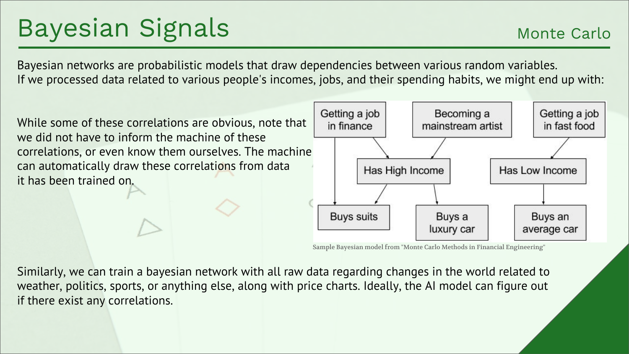## Bayesian Signals

Bayesian networks are probabilistic models that draw dependencies between various random variables. If we processed data related to various people's incomes, jobs, and their spending habits, we might end up with:



Sample Bayesian model from "Monte Carlo Methods in Financial Engineering"

Similarly, we can train a bayesian network with all raw data regarding changes in the world related to weather, politics, sports, or anything else, along with price charts. Ideally, the AI model can figure out if there exist any correlations.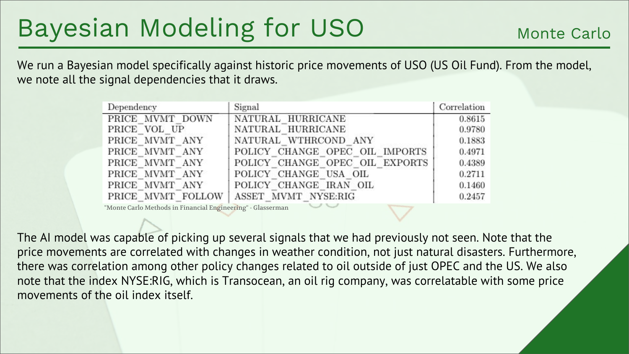## Bayesian Modeling for USO

We run a Bayesian model specifically against historic price movements of USO (US Oil Fund). From the model, we note all the signal dependencies that it draws.

| Dependency        | Signal                         | Correlation |
|-------------------|--------------------------------|-------------|
| PRICE MVMT DOWN   | NATURAL HURRICANE              | 0.8615      |
| PRICE VOL UP      | NATURAL HURRICANE              | 0.9780      |
| PRICE MVMT ANY    | NATURAL WTHRCOND ANY           | 0.1883      |
| PRICE MVMT ANY    | POLICY CHANGE OPEC OIL IMPORTS | 0.4971      |
| PRICE MVMT ANY    | POLICY CHANGE OPEC OIL EXPORTS | 0.4389      |
| PRICE MVMT ANY    | POLICY CHANGE USA OIL          | 0.2711      |
| PRICE MVMT ANY    | POLICY CHANGE IRAN OIL         | 0.1460      |
| PRICE MVMT FOLLOW | ASSET MVMT NYSE:RIG            | 0.2457      |

"Monte Carlo Methods in Financial Engineering" - Glasserman

The AI model was capable of picking up several signals that we had previously not seen. Note that the price movements are correlated with changes in weather condition, not just natural disasters. Furthermore, there was correlation among other policy changes related to oil outside of just OPEC and the US. We also note that the index NYSE:RIG, which is Transocean, an oil rig company, was correlatable with some price movements of the oil index itself.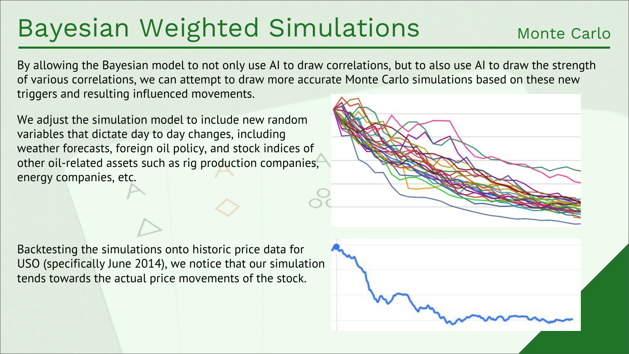## Bayesian Weighted Simulations

Monte Carlo

By allowing the Bayesian model to not only use AI to draw correlations, but to also use AI to draw the strength of various correlations, we can attempt to draw more accurate Monte Carlo simulations based on these new triggers and resulting influenced movements.

We adjust the simulation model to include new random variables that dictate day to day changes, including weather forecasts, foreign oil policy, and stock indices of other oil-related assets such as rig production companies, energy companies, etc.



Backtesting the simulations onto historic price data for USO (specifically June 2014), we notice that our simulation tends towards the actual price movements of the stock.

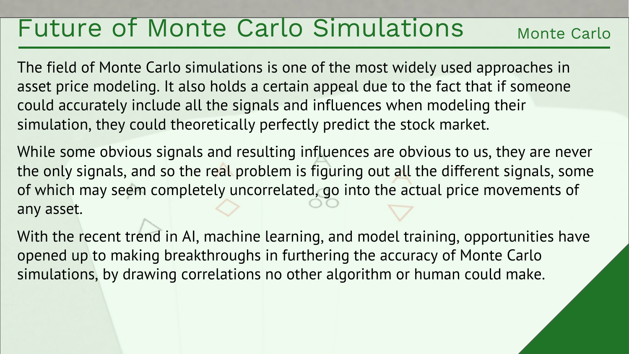#### Future of Monte Carlo Simulations

Monte Carlo

The field of Monte Carlo simulations is one of the most widely used approaches in asset price modeling. It also holds a certain appeal due to the fact that if someone could accurately include all the signals and influences when modeling their simulation, they could theoretically perfectly predict the stock market.

While some obvious signals and resulting influences are obvious to us, they are never the only signals, and so the real problem is figuring out all the different signals, some of which may seem completely uncorrelated, go into the actual price movements of any asset.

With the recent trend in AI, machine learning, and model training, opportunities have opened up to making breakthroughs in furthering the accuracy of Monte Carlo simulations, by drawing correlations no other algorithm or human could make.